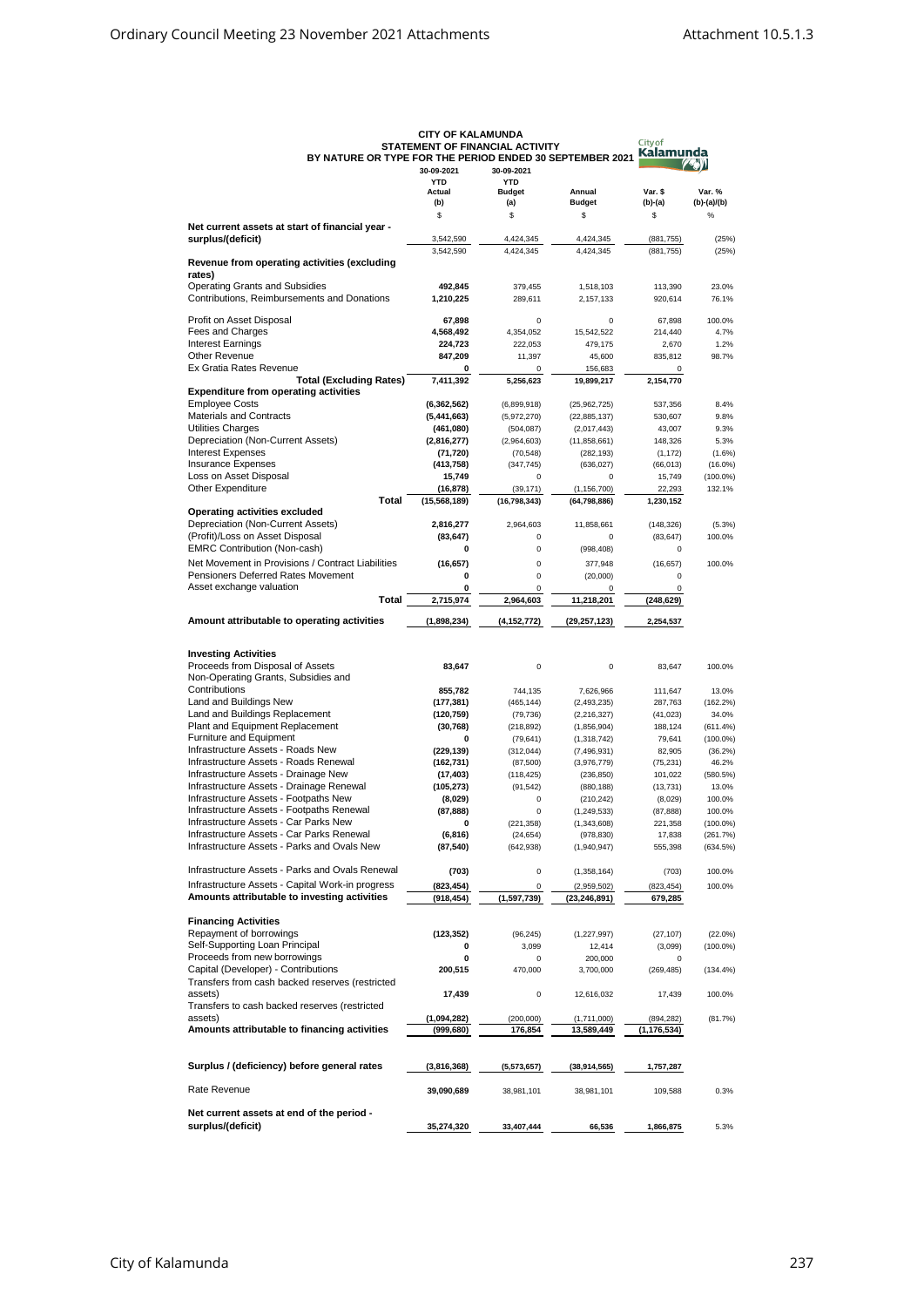|                                                                                      | <b>CITY OF KALAMUNDA</b>                                 |                             |                | City of              |                   |
|--------------------------------------------------------------------------------------|----------------------------------------------------------|-----------------------------|----------------|----------------------|-------------------|
|                                                                                      | STATEMENT OF FINANCIAL ACTIVITY                          |                             |                | Kalamunda            |                   |
|                                                                                      | BY NATURE OR TYPE FOR THE PERIOD ENDED 30 SEPTEMBER 2021 |                             |                |                      |                   |
|                                                                                      | 30-09-2021                                               | 30-09-2021                  |                |                      |                   |
|                                                                                      | <b>YTD</b><br>Actual                                     | <b>YTD</b><br><b>Budget</b> | Annual         | Var. \$              | Var. %            |
|                                                                                      | (b)                                                      | (a)                         | <b>Budget</b>  | $(b)-(a)$            | $(b)-(a)/(b)$     |
|                                                                                      | \$                                                       | \$                          | \$             | \$                   | %                 |
| Net current assets at start of financial year -                                      |                                                          |                             |                |                      |                   |
| surplus/(deficit)                                                                    | 3,542,590                                                | 4,424,345                   | 4,424,345      | (881, 755)           | (25%)             |
|                                                                                      | 3,542,590                                                | 4,424,345                   | 4,424,345      | (881, 755)           | (25%)             |
| Revenue from operating activities (excluding                                         |                                                          |                             |                |                      |                   |
| rates)                                                                               |                                                          |                             |                |                      |                   |
| <b>Operating Grants and Subsidies</b><br>Contributions, Reimbursements and Donations | 492,845                                                  | 379,455                     | 1,518,103      | 113,390              | 23.0%             |
|                                                                                      | 1,210,225                                                | 289,611                     | 2,157,133      | 920,614              | 76.1%             |
| Profit on Asset Disposal                                                             | 67,898                                                   | 0                           | 0              | 67,898               | 100.0%            |
| Fees and Charges                                                                     | 4,568,492                                                | 4,354,052                   | 15,542,522     | 214,440              | 4.7%              |
| <b>Interest Earnings</b>                                                             | 224,723                                                  | 222,053                     | 479,175        | 2,670                | 1.2%              |
| <b>Other Revenue</b>                                                                 | 847,209                                                  | 11,397                      | 45,600         | 835,812              | 98.7%             |
| Ex Gratia Rates Revenue                                                              | 0                                                        | $\Omega$                    | 156,683        | $\Omega$             |                   |
| <b>Total (Excluding Rates)</b>                                                       | 7,411,392                                                | 5,256,623                   | 19,899,217     | 2,154,770            |                   |
| <b>Expenditure from operating activities</b>                                         |                                                          |                             |                |                      |                   |
| <b>Employee Costs</b>                                                                | (6,362,562)                                              | (6,899,918)                 | (25,962,725)   | 537,356              | 8.4%              |
| <b>Materials and Contracts</b>                                                       | (5,441,663)                                              | (5,972,270)                 | (22, 885, 137) | 530,607              | 9.8%              |
| Utilities Charges                                                                    | (461,080)                                                | (504, 087)                  | (2,017,443)    | 43,007               | 9.3%              |
| Depreciation (Non-Current Assets)                                                    | (2,816,277)                                              | (2,964,603)                 | (11,858,661)   | 148,326              | 5.3%              |
| <b>Interest Expenses</b>                                                             | (71, 720)                                                | (70, 548)                   | (282, 193)     | (1, 172)             | $(1.6\%)$         |
| <b>Insurance Expenses</b>                                                            | (413, 758)                                               | (347, 745)                  | (636, 027)     | (66, 013)            | $(16.0\%)$        |
| Loss on Asset Disposal                                                               | 15,749                                                   | $\mathbf 0$                 | $\Omega$       | 15,749               | $(100.0\%)$       |
| <b>Other Expenditure</b>                                                             | (16, 878)                                                | (39, 171)                   | (1, 156, 700)  | 22,293               | 132.1%            |
| Total                                                                                | (15, 568, 189)                                           | (16, 798, 343)              | (64, 798, 886) | 1,230,152            |                   |
| <b>Operating activities excluded</b>                                                 |                                                          |                             |                |                      |                   |
| Depreciation (Non-Current Assets)                                                    | 2,816,277                                                | 2,964,603                   | 11,858,661     | (148, 326)           | (5.3%)            |
| (Profit)/Loss on Asset Disposal                                                      | (83, 647)                                                | 0                           | $\pmb{0}$      | (83, 647)            | 100.0%            |
| <b>EMRC Contribution (Non-cash)</b>                                                  | 0                                                        | $\mathbf 0$                 | (998, 408)     | 0                    |                   |
| Net Movement in Provisions / Contract Liabilities                                    | (16, 657)                                                | $\mathbf 0$                 | 377,948        | (16, 657)            | 100.0%            |
| Pensioners Deferred Rates Movement                                                   | 0                                                        | $\mathbf 0$                 | (20,000)       | 0                    |                   |
| Asset exchange valuation                                                             | 0                                                        | 0                           | 0              | 0                    |                   |
| Total                                                                                | 2,715,974                                                | 2,964,603                   | 11,218,201     | (248, 629)           |                   |
|                                                                                      |                                                          |                             |                |                      |                   |
| Amount attributable to operating activities                                          | (1,898,234)                                              | (4, 152, 772)               | (29, 257, 123) | 2,254,537            |                   |
|                                                                                      |                                                          |                             |                |                      |                   |
| <b>Investing Activities</b>                                                          |                                                          |                             |                |                      |                   |
| Proceeds from Disposal of Assets                                                     | 83,647                                                   | $\mathbf 0$                 | $\pmb{0}$      |                      | 100.0%            |
| Non-Operating Grants, Subsidies and                                                  |                                                          |                             |                | 83,647               |                   |
| Contributions                                                                        |                                                          |                             |                |                      |                   |
| Land and Buildings New                                                               | 855,782                                                  | 744,135                     | 7,626,966      | 111,647              | 13.0%             |
| Land and Buildings Replacement                                                       | (177, 381)                                               | (465, 144)                  | (2,493,235)    | 287,763              | (162.2%)<br>34.0% |
| Plant and Equipment Replacement                                                      | (120, 759)                                               | (79, 736)                   | (2, 216, 327)  | (41, 023)            |                   |
| Furniture and Equipment                                                              | (30, 768)<br>0                                           | (218, 892)                  | (1,856,904)    | 188,124              | (611.4%)          |
| Infrastructure Assets - Roads New                                                    | (229, 139)                                               | (79, 641)                   | (1,318,742)    | 79,641               | $(100.0\%)$       |
| Infrastructure Assets - Roads Renewal                                                |                                                          | (312, 044)<br>(87,500)      | (7, 496, 931)  | 82,905               | (36.2%)           |
| Infrastructure Assets - Drainage New                                                 | (162, 731)                                               |                             | (3,976,779)    | (75, 231)            | 46.2%             |
| Infrastructure Assets - Drainage Renewal                                             | (17, 403)                                                | (118, 425)                  | (236, 850)     | 101,022              | (580.5%)<br>13.0% |
| Infrastructure Assets - Footpaths New                                                | (105, 273)                                               | (91, 542)<br>$\Omega$       | (880, 188)     | (13, 731)            |                   |
| Infrastructure Assets - Footpaths Renewal                                            | (8,029)                                                  |                             | (210, 242)     | (8,029)              | 100.0%            |
| Infrastructure Assets - Car Parks New                                                | (87, 888)<br>0                                           | 0                           | (1, 249, 533)  | (87, 888)<br>221,358 | 100.0%            |
| Infrastructure Assets - Car Parks Renewal                                            |                                                          | (221, 358)                  | (1,343,608)    |                      | $(100.0\%)$       |
| Infrastructure Assets - Parks and Ovals New                                          | (6, 816)                                                 | (24, 654)                   | (978, 830)     | 17,838               | (261.7%)          |
|                                                                                      | (87, 540)                                                | (642, 938)                  | (1,940,947)    | 555,398              | (634.5%)          |
| Infrastructure Assets - Parks and Ovals Renewal                                      | (703)                                                    | 0                           | (1,358,164)    | (703)                | 100.0%            |
|                                                                                      |                                                          |                             |                |                      |                   |
| Infrastructure Assets - Capital Work-in progress                                     | (823, 454)                                               | 0                           | (2,959,502)    | (823, 454)           | 100.0%            |
| Amounts attributable to investing activities                                         | (918, 454)                                               | (1,597,739)                 | (23, 246, 891) | 679,285              |                   |
|                                                                                      |                                                          |                             |                |                      |                   |
| <b>Financing Activities</b>                                                          |                                                          |                             |                |                      |                   |
|                                                                                      |                                                          |                             |                |                      |                   |
| Repayment of borrowings                                                              | (123, 352)                                               | (96, 245)                   | (1,227,997)    | (27, 107)            | $(22.0\%)$        |
| Self-Supporting Loan Principal                                                       | 0                                                        | 3,099                       | 12,414         | (3,099)              | $(100.0\%)$       |
| Proceeds from new borrowings                                                         | 0                                                        | 0                           | 200,000        | 0                    |                   |
| Capital (Developer) - Contributions                                                  | 200,515                                                  | 470,000                     | 3,700,000      | (269, 485)           | $(134.4\%)$       |
| Transfers from cash backed reserves (restricted                                      |                                                          |                             |                |                      |                   |
| assets)                                                                              | 17,439                                                   | 0                           | 12,616,032     | 17,439               | 100.0%            |
| Transfers to cash backed reserves (restricted                                        |                                                          |                             |                |                      |                   |
| assets)                                                                              | (1,094,282)                                              | (200,000)                   | (1,711,000)    | (894,282)            | (81.7%)           |
| Amounts attributable to financing activities                                         | (999,680)                                                | 176,854                     | 13,589,449     | (1, 176, 534)        |                   |
|                                                                                      |                                                          |                             |                |                      |                   |
|                                                                                      |                                                          |                             |                |                      |                   |
| Surplus / (deficiency) before general rates                                          | (3,816,368)                                              | (5,573,657)                 | (38, 914, 565) | 1,757,287            |                   |
|                                                                                      |                                                          |                             |                |                      |                   |
| Rate Revenue                                                                         | 39,090,689                                               | 38,981,101                  | 38,981,101     | 109,588              | 0.3%              |
|                                                                                      |                                                          |                             |                |                      |                   |
| Net current assets at end of the period -<br>surplus/(deficit)                       | 35,274,320                                               | 33,407,444                  | 66,536         | 1,866,875            | 5.3%              |

**CITY OF KALAMUNDA**